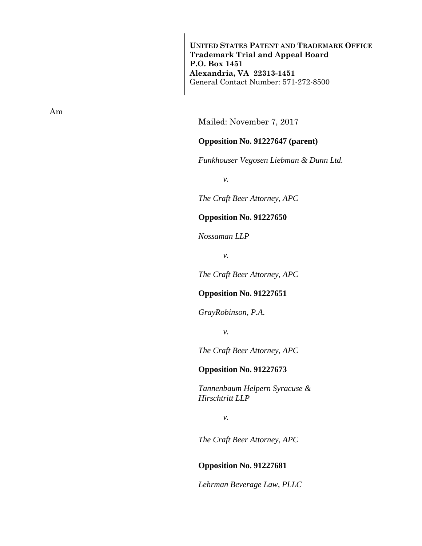**UNITED STATES PATENT AND TRADEMARK OFFICE Trademark Trial and Appeal Board P.O. Box 1451 Alexandria, VA 22313-1451**  General Contact Number: 571-272-8500

Mailed: November 7, 2017

## **Opposition No. 91227647 (parent)**

*Funkhouser Vegosen Liebman & Dunn Ltd.* 

*v.* 

*The Craft Beer Attorney, APC* 

**Opposition No. 91227650** 

*Nossaman LLP* 

*v.* 

*The Craft Beer Attorney, APC* 

### **Opposition No. 91227651**

*GrayRobinson, P.A.* 

*v.* 

*The Craft Beer Attorney, APC* 

#### **Opposition No. 91227673**

*Tannenbaum Helpern Syracuse & Hirschtritt LLP* 

*v.* 

*The Craft Beer Attorney, APC* 

**Opposition No. 91227681** 

*Lehrman Beverage Law, PLLC* 

Am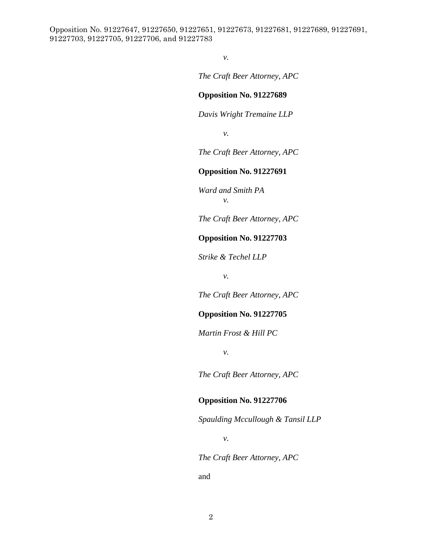*v.* 

*The Craft Beer Attorney, APC* 

### **Opposition No. 91227689**

*Davis Wright Tremaine LLP* 

*v.* 

*The Craft Beer Attorney, APC* 

### **Opposition No. 91227691**

*Ward and Smith PA v.* 

*The Craft Beer Attorney, APC* 

# **Opposition No. 91227703**

*Strike & Techel LLP* 

*v.* 

*The Craft Beer Attorney, APC* 

# **Opposition No. 91227705**

*Martin Frost & Hill PC* 

*v.* 

*The Craft Beer Attorney, APC* 

## **Opposition No. 91227706**

*Spaulding Mccullough & Tansil LLP* 

*v.* 

*The Craft Beer Attorney, APC* 

and